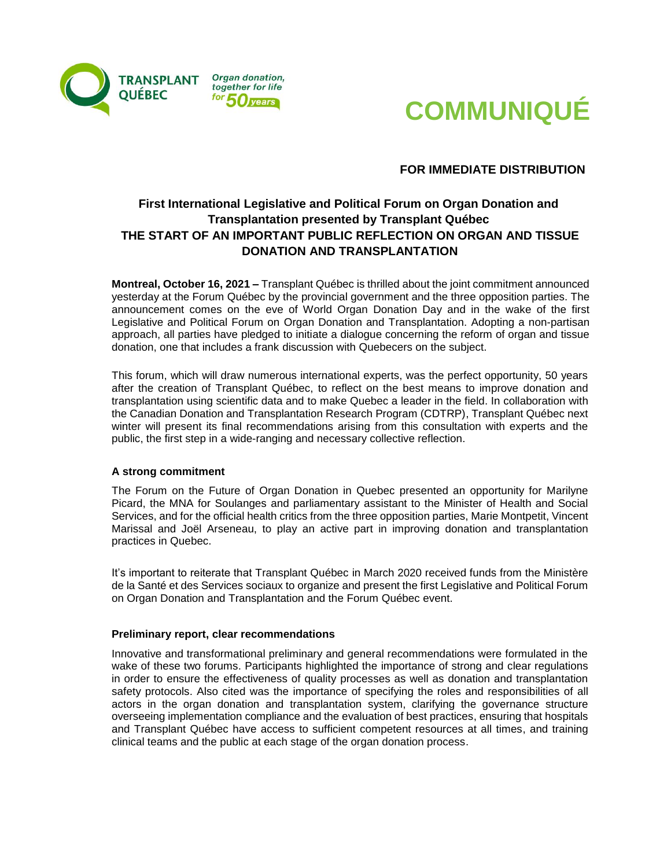



**FOR IMMEDIATE DISTRIBUTION**

## **First International Legislative and Political Forum on Organ Donation and Transplantation presented by Transplant Québec THE START OF AN IMPORTANT PUBLIC REFLECTION ON ORGAN AND TISSUE DONATION AND TRANSPLANTATION**

**Montreal, October 16, 2021 –** Transplant Québec is thrilled about the joint commitment announced yesterday at the Forum Québec by the provincial government and the three opposition parties. The announcement comes on the eve of World Organ Donation Day and in the wake of the first Legislative and Political Forum on Organ Donation and Transplantation. Adopting a non-partisan approach, all parties have pledged to initiate a dialogue concerning the reform of organ and tissue donation, one that includes a frank discussion with Quebecers on the subject.

This forum, which will draw numerous international experts, was the perfect opportunity, 50 years after the creation of Transplant Québec, to reflect on the best means to improve donation and transplantation using scientific data and to make Quebec a leader in the field. In collaboration with the Canadian Donation and Transplantation Research Program (CDTRP), Transplant Québec next winter will present its final recommendations arising from this consultation with experts and the public, the first step in a wide-ranging and necessary collective reflection.

## **A strong commitment**

The Forum on the Future of Organ Donation in Quebec presented an opportunity for Marilyne Picard, the MNA for Soulanges and parliamentary assistant to the Minister of Health and Social Services, and for the official health critics from the three opposition parties, Marie Montpetit, Vincent Marissal and Joël Arseneau, to play an active part in improving donation and transplantation practices in Quebec.

It's important to reiterate that Transplant Québec in March 2020 received funds from the Ministère de la Santé et des Services sociaux to organize and present the first Legislative and Political Forum on Organ Donation and Transplantation and the Forum Québec event.

## **Preliminary report, clear recommendations**

Innovative and transformational preliminary and general recommendations were formulated in the wake of these two forums. Participants highlighted the importance of strong and clear regulations in order to ensure the effectiveness of quality processes as well as donation and transplantation safety protocols. Also cited was the importance of specifying the roles and responsibilities of all actors in the organ donation and transplantation system, clarifying the governance structure overseeing implementation compliance and the evaluation of best practices, ensuring that hospitals and Transplant Québec have access to sufficient competent resources at all times, and training clinical teams and the public at each stage of the organ donation process.